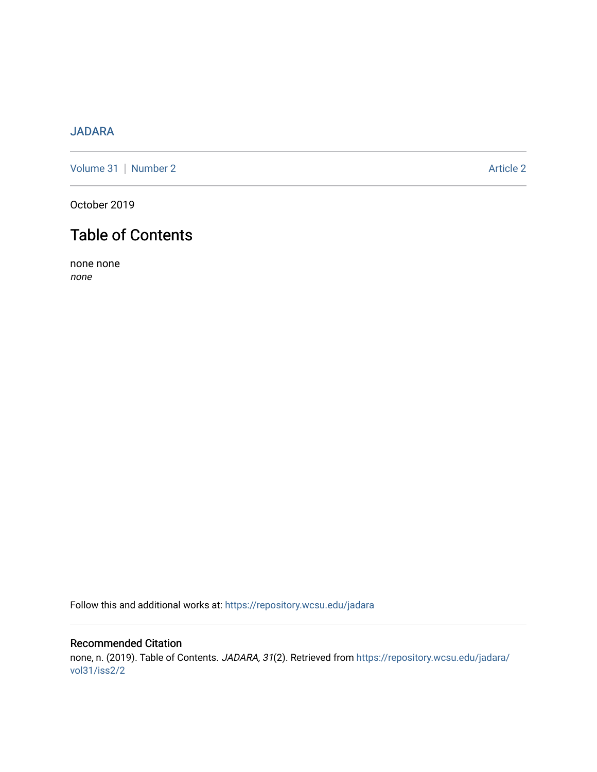## [JADARA](https://repository.wcsu.edu/jadara)

[Volume 31](https://repository.wcsu.edu/jadara/vol31) | [Number 2](https://repository.wcsu.edu/jadara/vol31/iss2) Article 2

October 2019

## Table of Contents

none none none

Follow this and additional works at: [https://repository.wcsu.edu/jadara](https://repository.wcsu.edu/jadara?utm_source=repository.wcsu.edu%2Fjadara%2Fvol31%2Fiss2%2F2&utm_medium=PDF&utm_campaign=PDFCoverPages)

## Recommended Citation none, n. (2019). Table of Contents. JADARA, 31(2). Retrieved from [https://repository.wcsu.edu/jadara/](https://repository.wcsu.edu/jadara/vol31/iss2/2?utm_source=repository.wcsu.edu%2Fjadara%2Fvol31%2Fiss2%2F2&utm_medium=PDF&utm_campaign=PDFCoverPages) [vol31/iss2/2](https://repository.wcsu.edu/jadara/vol31/iss2/2?utm_source=repository.wcsu.edu%2Fjadara%2Fvol31%2Fiss2%2F2&utm_medium=PDF&utm_campaign=PDFCoverPages)